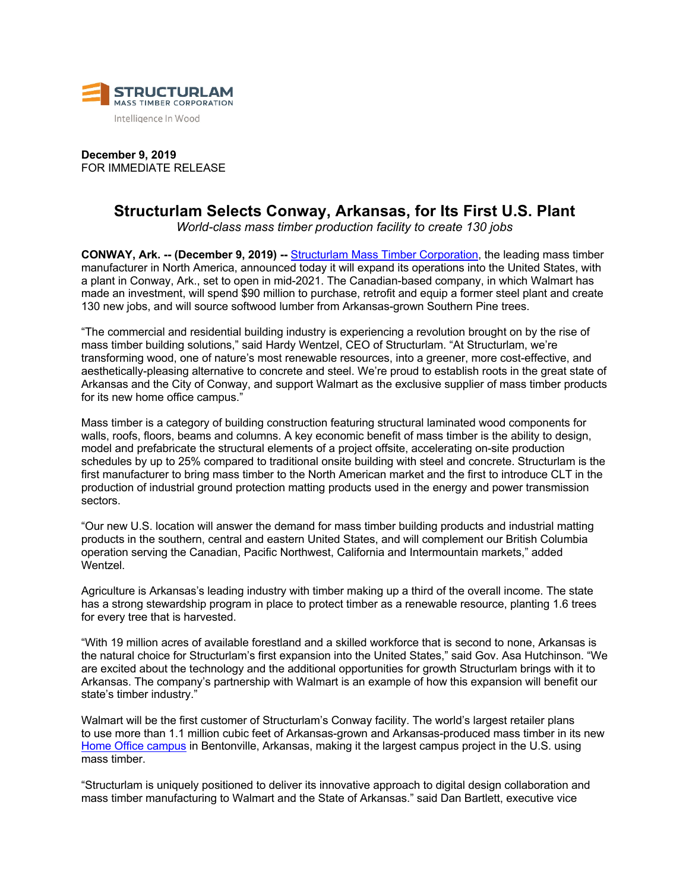

**December 9, 2019** FOR IMMEDIATE RELEASE

# **Structurlam Selects Conway, Arkansas, for Its First U.S. Plant**

*World-class mass timber production facility to create 130 jobs*

**CONWAY, Ark. -- (December 9, 2019) --** Structurlam Mass Timber Corporation, the leading mass timber manufacturer in North America, announced today it will expand its operations into the United States, with a plant in Conway, Ark., set to open in mid-2021. The Canadian-based company, in which Walmart has made an investment, will spend \$90 million to purchase, retrofit and equip a former steel plant and create 130 new jobs, and will source softwood lumber from Arkansas-grown Southern Pine trees.

"The commercial and residential building industry is experiencing a revolution brought on by the rise of mass timber building solutions," said Hardy Wentzel, CEO of Structurlam. "At Structurlam, we're transforming wood, one of nature's most renewable resources, into a greener, more cost-effective, and aesthetically-pleasing alternative to concrete and steel. We're proud to establish roots in the great state of Arkansas and the City of Conway, and support Walmart as the exclusive supplier of mass timber products for its new home office campus."

Mass timber is a category of building construction featuring structural laminated wood components for walls, roofs, floors, beams and columns. A key economic benefit of mass timber is the ability to design, model and prefabricate the structural elements of a project offsite, accelerating on-site production schedules by up to 25% compared to traditional onsite building with steel and concrete. Structurlam is the first manufacturer to bring mass timber to the North American market and the first to introduce CLT in the production of industrial ground protection matting products used in the energy and power transmission sectors.

"Our new U.S. location will answer the demand for mass timber building products and industrial matting products in the southern, central and eastern United States, and will complement our British Columbia operation serving the Canadian, Pacific Northwest, California and Intermountain markets," added Wentzel.

Agriculture is Arkansas's leading industry with timber making up a third of the overall income. The state has a strong stewardship program in place to protect timber as a renewable resource, planting 1.6 trees for every tree that is harvested.

"With 19 million acres of available forestland and a skilled workforce that is second to none, Arkansas is the natural choice for Structurlam's first expansion into the United States," said Gov. Asa Hutchinson. "We are excited about the technology and the additional opportunities for growth Structurlam brings with it to Arkansas. The company's partnership with Walmart is an example of how this expansion will benefit our state's timber industry."

Walmart will be the first customer of Structurlam's Conway facility. The world's largest retailer plans to use more than 1.1 million cubic feet of Arkansas-grown and Arkansas-produced mass timber in its new Home Office campus in Bentonville, Arkansas, making it the largest campus project in the U.S. using mass timber.

"Structurlam is uniquely positioned to deliver its innovative approach to digital design collaboration and mass timber manufacturing to Walmart and the State of Arkansas." said Dan Bartlett, executive vice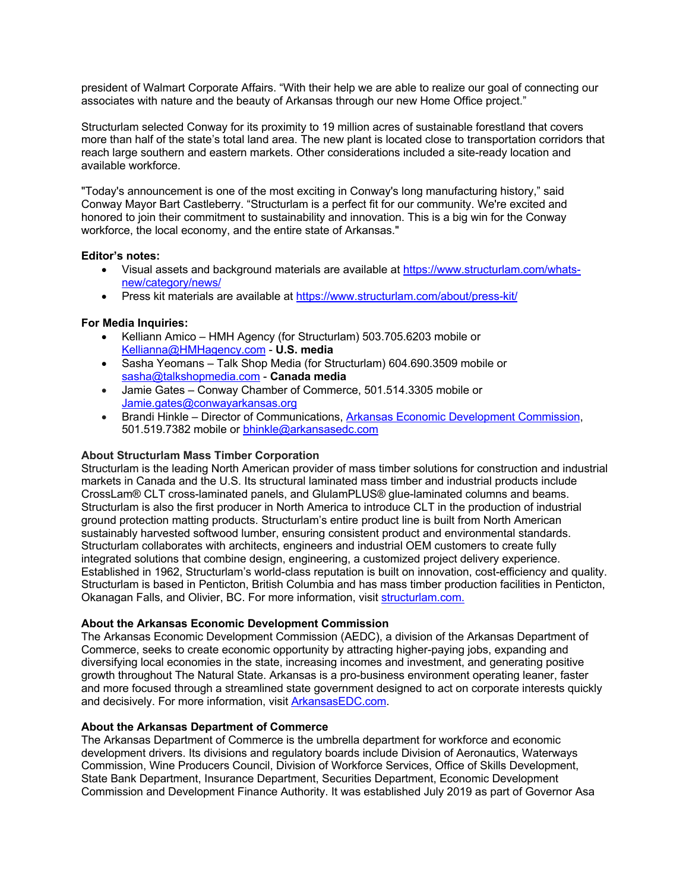president of Walmart Corporate Affairs. "With their help we are able to realize our goal of connecting our associates with nature and the beauty of Arkansas through our new Home Office project."

Structurlam selected Conway for its proximity to 19 million acres of sustainable forestland that covers more than half of the state's total land area. The new plant is located close to transportation corridors that reach large southern and eastern markets. Other considerations included a site-ready location and available workforce.

"Today's announcement is one of the most exciting in Conway's long manufacturing history," said Conway Mayor Bart Castleberry. "Structurlam is a perfect fit for our community. We're excited and honored to join their commitment to sustainability and innovation. This is a big win for the Conway workforce, the local economy, and the entire state of Arkansas."

### **Editor's notes:**

- Visual assets and background materials are available at https://www.structurlam.com/whatsnew/category/news/
- Press kit materials are available at https://www.structurlam.com/about/press-kit/

## **For Media Inquiries:**

- Kelliann Amico HMH Agency (for Structurlam) 503.705.6203 mobile or Kellianna@HMHagency.com - **U.S. media**
- Sasha Yeomans Talk Shop Media (for Structurlam) 604.690.3509 mobile or sasha@talkshopmedia.com - **Canada media**
- Jamie Gates Conway Chamber of Commerce, 501.514.3305 mobile or Jamie.gates@conwayarkansas.org
- Brandi Hinkle Director of Communications, Arkansas Economic Development Commission, 501.519.7382 mobile or bhinkle@arkansasedc.com

#### **About Structurlam Mass Timber Corporation**

Structurlam is the leading North American provider of mass timber solutions for construction and industrial markets in Canada and the U.S. Its structural laminated mass timber and industrial products include CrossLam® CLT cross-laminated panels, and GlulamPLUS® glue-laminated columns and beams. Structurlam is also the first producer in North America to introduce CLT in the production of industrial ground protection matting products. Structurlam's entire product line is built from North American sustainably harvested softwood lumber, ensuring consistent product and environmental standards. Structurlam collaborates with architects, engineers and industrial OEM customers to create fully integrated solutions that combine design, engineering, a customized project delivery experience. Established in 1962, Structurlam's world-class reputation is built on innovation, cost-efficiency and quality. Structurlam is based in Penticton, British Columbia and has mass timber production facilities in Penticton, Okanagan Falls, and Olivier, BC. For more information, visit structurlam.com.

#### **About the Arkansas Economic Development Commission**

The Arkansas Economic Development Commission (AEDC), a division of the Arkansas Department of Commerce, seeks to create economic opportunity by attracting higher-paying jobs, expanding and diversifying local economies in the state, increasing incomes and investment, and generating positive growth throughout The Natural State. Arkansas is a pro-business environment operating leaner, faster and more focused through a streamlined state government designed to act on corporate interests quickly and decisively. For more information, visit ArkansasEDC.com.

#### **About the Arkansas Department of Commerce**

The Arkansas Department of Commerce is the umbrella department for workforce and economic development drivers. Its divisions and regulatory boards include Division of Aeronautics, Waterways Commission, Wine Producers Council, Division of Workforce Services, Office of Skills Development, State Bank Department, Insurance Department, Securities Department, Economic Development Commission and Development Finance Authority. It was established July 2019 as part of Governor Asa